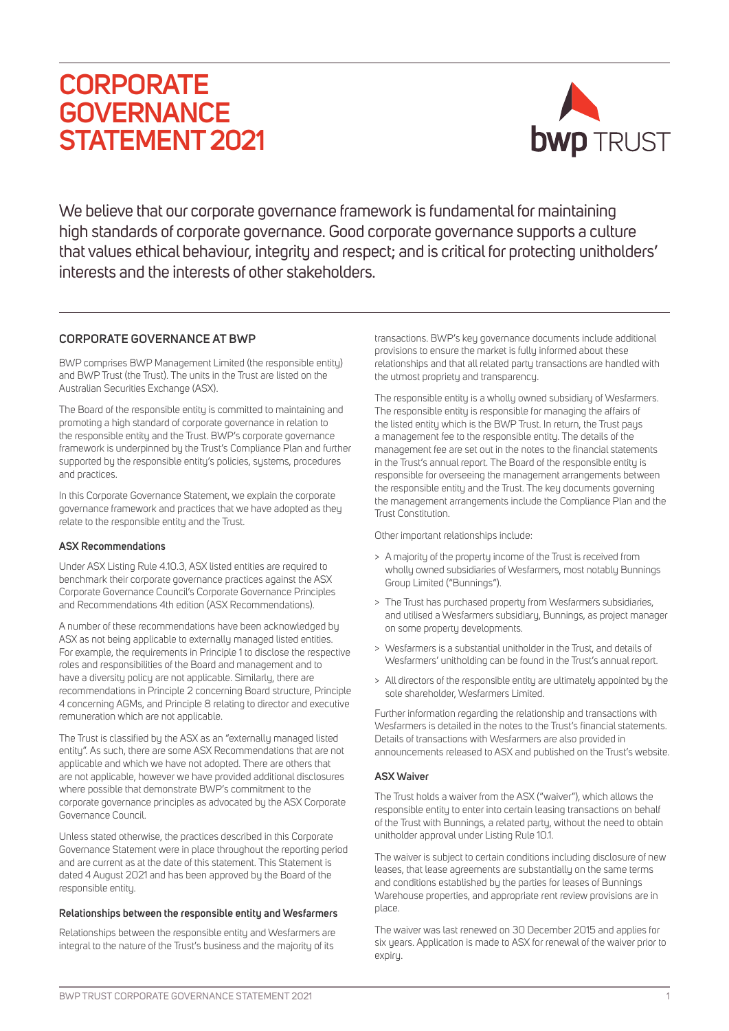# **CORPORATE GOVERNANCE STATEMENT 2021**



We believe that our corporate governance framework is fundamental for maintaining high standards of corporate governance. Good corporate governance supports a culture that values ethical behaviour, integrity and respect; and is critical for protecting unitholders' interests and the interests of other stakeholders.

# **CORPORATE GOVERNANCE AT BWP**

BWP comprises BWP Management Limited (the responsible entity) and BWP Trust (the Trust). The units in the Trust are listed on the Australian Securities Exchange (ASX).

The Board of the responsible entity is committed to maintaining and promoting a high standard of corporate governance in relation to the responsible entity and the Trust. BWP's corporate governance framework is underpinned by the Trust's Compliance Plan and further supported by the responsible entity's policies, systems, procedures and practices.

In this Corporate Governance Statement, we explain the corporate governance framework and practices that we have adopted as they relate to the responsible entity and the Trust.

## **ASX Recommendations**

Under ASX Listing Rule 4.10.3, ASX listed entities are required to benchmark their corporate governance practices against the ASX Corporate Governance Council's Corporate Governance Principles and Recommendations 4th edition (ASX Recommendations).

A number of these recommendations have been acknowledged by ASX as not being applicable to externally managed listed entities. For example, the requirements in Principle 1 to disclose the respective roles and responsibilities of the Board and management and to have a diversity policy are not applicable. Similarly, there are recommendations in Principle 2 concerning Board structure, Principle 4 concerning AGMs, and Principle 8 relating to director and executive remuneration which are not applicable.

The Trust is classified by the ASX as an "externally managed listed entity". As such, there are some ASX Recommendations that are not applicable and which we have not adopted. There are others that are not applicable, however we have provided additional disclosures where possible that demonstrate BWP's commitment to the corporate governance principles as advocated by the ASX Corporate Governance Council.

Unless stated otherwise, the practices described in this Corporate Governance Statement were in place throughout the reporting period and are current as at the date of this statement. This Statement is dated 4 August 2021 and has been approved by the Board of the responsible entity.

## **Relationships between the responsible entity and Wesfarmers**

Relationships between the responsible entity and Wesfarmers are integral to the nature of the Trust's business and the majority of its

transactions. BWP's key governance documents include additional provisions to ensure the market is fully informed about these relationships and that all related party transactions are handled with the utmost propriety and transparency.

The responsible entity is a wholly owned subsidiary of Wesfarmers. The responsible entity is responsible for managing the affairs of the listed entity which is the BWP Trust. In return, the Trust pays a management fee to the responsible entity. The details of the management fee are set out in the notes to the financial statements in the Trust's annual report. The Board of the responsible entity is responsible for overseeing the management arrangements between the responsible entity and the Trust. The key documents governing the management arrangements include the Compliance Plan and the Trust Constitution.

#### Other important relationships include:

- > A majority of the property income of the Trust is received from wholly owned subsidiaries of Wesfarmers, most notably Bunnings Group Limited ("Bunnings").
- > The Trust has purchased property from Wesfarmers subsidiaries, and utilised a Wesfarmers subsidiary, Bunnings, as project manager on some property developments.
- > Wesfarmers is a substantial unitholder in the Trust, and details of Wesfarmers' unitholding can be found in the Trust's annual report.
- > All directors of the responsible entity are ultimately appointed by the sole shareholder, Wesfarmers Limited.

Further information regarding the relationship and transactions with Wesfarmers is detailed in the notes to the Trust's financial statements. Details of transactions with Wesfarmers are also provided in announcements released to ASX and published on the Trust's website.

## **ASX Waiver**

The Trust holds a waiver from the ASX ("waiver"), which allows the responsible entity to enter into certain leasing transactions on behalf of the Trust with Bunnings, a related party, without the need to obtain unitholder approval under Listing Rule 10.1.

The waiver is subject to certain conditions including disclosure of new leases, that lease agreements are substantially on the same terms and conditions established by the parties for leases of Bunnings Warehouse properties, and appropriate rent review provisions are in place.

The waiver was last renewed on 30 December 2015 and applies for six years. Application is made to ASX for renewal of the waiver prior to expiry.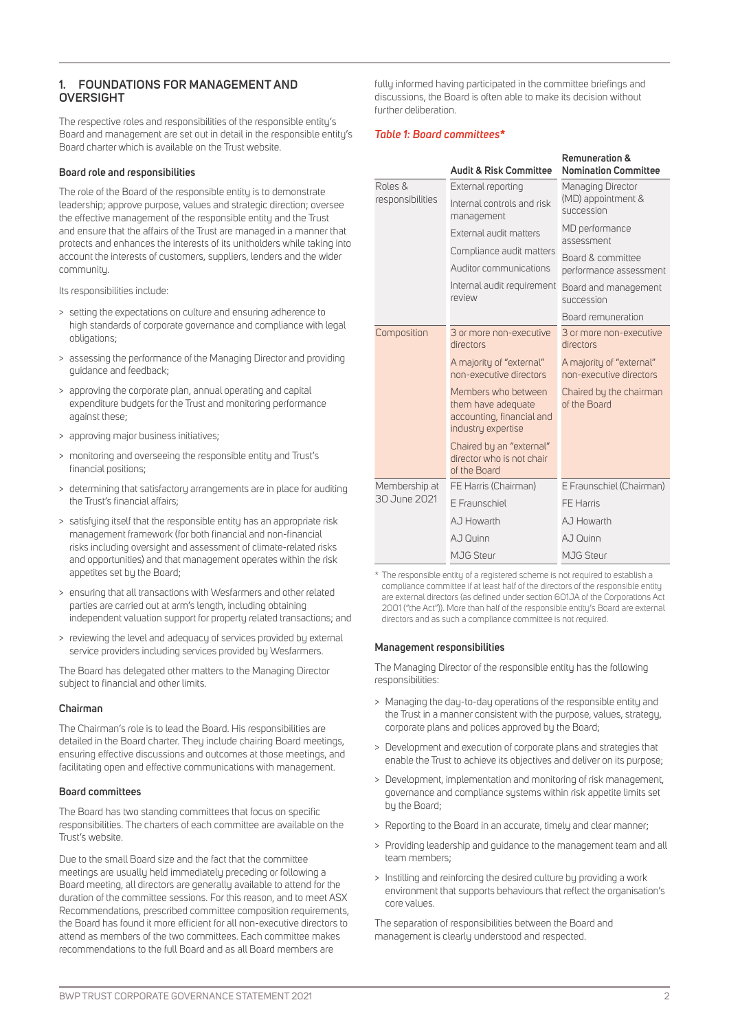# **1. FOUNDATIONS FOR MANAGEMENT AND OVERSIGHT**

The respective roles and responsibilities of the responsible entity's Board and management are set out in detail in the responsible entity's Board charter which is available on the Trust website.

### **Board role and responsibilities**

The role of the Board of the responsible entity is to demonstrate leadership; approve purpose, values and strategic direction; oversee the effective management of the responsible entity and the Trust and ensure that the affairs of the Trust are managed in a manner that protects and enhances the interests of its unitholders while taking into account the interests of customers, suppliers, lenders and the wider community.

Its responsibilities include:

- > setting the expectations on culture and ensuring adherence to high standards of corporate governance and compliance with legal obligations;
- > assessing the performance of the Managing Director and providing guidance and feedback;
- > approving the corporate plan, annual operating and capital expenditure budgets for the Trust and monitoring performance against these;
- > approving major business initiatives;
- > monitoring and overseeing the responsible entity and Trust's financial positions;
- > determining that satisfactory arrangements are in place for auditing the Trust's financial affairs;
- > satisfying itself that the responsible entity has an appropriate risk management framework (for both financial and non-financial risks including oversight and assessment of climate-related risks and opportunities) and that management operates within the risk appetites set by the Board;
- > ensuring that all transactions with Wesfarmers and other related parties are carried out at arm's length, including obtaining independent valuation support for property related transactions; and
- > reviewing the level and adequacy of services provided by external service providers including services provided by Wesfarmers.

The Board has delegated other matters to the Managing Director subject to financial and other limits.

#### **Chairman**

The Chairman's role is to lead the Board. His responsibilities are detailed in the Board charter. They include chairing Board meetings, ensuring effective discussions and outcomes at those meetings, and facilitating open and effective communications with management.

## **Board committees**

The Board has two standing committees that focus on specific responsibilities. The charters of each committee are available on the Trust's website.

Due to the small Board size and the fact that the committee meetings are usually held immediately preceding or following a Board meeting, all directors are generally available to attend for the duration of the committee sessions. For this reason, and to meet ASX Recommendations, prescribed committee composition requirements, the Board has found it more efficient for all non-executive directors to attend as members of the two committees. Each committee makes recommendations to the full Board and as all Board members are

fully informed having participated in the committee briefings and discussions, the Board is often able to make its decision without further deliberation.

#### *Table 1: Board committees\**

|                             | <b>Audit &amp; Risk Committee</b>                                                            | Remuneration &<br><b>Nomination Committee</b>                                         |  |  |
|-----------------------------|----------------------------------------------------------------------------------------------|---------------------------------------------------------------------------------------|--|--|
| Roles &<br>responsibilities | External reporting                                                                           | Managing Director<br>(MD) appointment &<br>succession<br>MD performance<br>assessment |  |  |
|                             | Internal controls and risk<br>management                                                     |                                                                                       |  |  |
|                             | External audit matters                                                                       |                                                                                       |  |  |
|                             | Compliance audit matters                                                                     | Board & committee<br>performance assessment                                           |  |  |
|                             | Auditor communications                                                                       |                                                                                       |  |  |
|                             | Internal audit requirement<br>review                                                         | Board and management<br>succession                                                    |  |  |
|                             |                                                                                              | Board remuneration                                                                    |  |  |
| Composition                 | 3 or more non-executive<br>directors                                                         | 3 or more non-executive<br>directors                                                  |  |  |
|                             | A majority of "external"<br>non-executive directors                                          | A majority of "external"<br>non-executive directors                                   |  |  |
|                             | Members who between<br>them have adequate<br>accounting, financial and<br>industry expertise | Chaired by the chairman<br>of the Board                                               |  |  |
|                             | Chaired by an "external"<br>director who is not chair<br>of the Board                        |                                                                                       |  |  |
| Membership at               | FE Harris (Chairman)                                                                         | E Fraunschiel (Chairman)                                                              |  |  |
| 30 June 2021                | E Fraunschiel                                                                                | FF Harris                                                                             |  |  |
|                             | AJ Howarth                                                                                   | A. <sub>J</sub> Howarth                                                               |  |  |
|                             | AJ Quinn                                                                                     | AJ Quinn                                                                              |  |  |
|                             | <b>MJG Steur</b>                                                                             | <b>MJG Steur</b>                                                                      |  |  |

\* The responsible entity of a registered scheme is not required to establish a compliance committee if at least half of the directors of the responsible entity are external directors (as defined under section 601JA of the Corporations Act 2001 ("the Act")). More than half of the responsible entity's Board are external directors and as such a compliance committee is not required.

#### **Management responsibilities**

The Managing Director of the responsible entity has the following responsibilities:

- > Managing the day-to-day operations of the responsible entity and the Trust in a manner consistent with the purpose, values, strategy, corporate plans and polices approved by the Board;
- > Development and execution of corporate plans and strategies that enable the Trust to achieve its objectives and deliver on its purpose;
- > Development, implementation and monitoring of risk management, governance and compliance systems within risk appetite limits set by the Board;
- > Reporting to the Board in an accurate, timely and clear manner;
- > Providing leadership and guidance to the management team and all team members;
- > Instilling and reinforcing the desired culture by providing a work environment that supports behaviours that reflect the organisation's core values.

The separation of responsibilities between the Board and management is clearly understood and respected.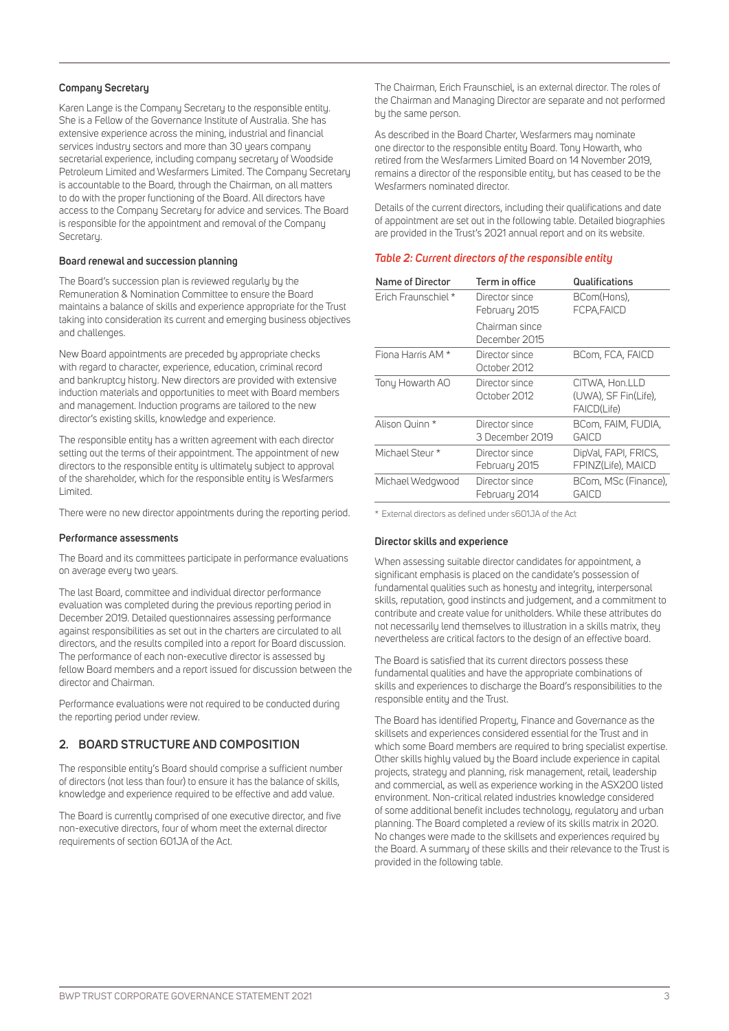### **Company Secretary**

Karen Lange is the Company Secretary to the responsible entity. She is a Fellow of the Governance Institute of Australia. She has extensive experience across the mining, industrial and financial services industry sectors and more than 30 years company secretarial experience, including company secretary of Woodside Petroleum Limited and Wesfarmers Limited. The Company Secretary is accountable to the Board, through the Chairman, on all matters to do with the proper functioning of the Board. All directors have access to the Company Secretary for advice and services. The Board is responsible for the appointment and removal of the Company Secretary.

#### **Board renewal and succession planning**

The Board's succession plan is reviewed regularly by the Remuneration & Nomination Committee to ensure the Board maintains a balance of skills and experience appropriate for the Trust taking into consideration its current and emerging business objectives and challenges.

New Board appointments are preceded by appropriate checks with regard to character, experience, education, criminal record and bankruptcy history. New directors are provided with extensive induction materials and opportunities to meet with Board members and management. Induction programs are tailored to the new director's existing skills, knowledge and experience.

The responsible entity has a written agreement with each director setting out the terms of their appointment. The appointment of new directors to the responsible entity is ultimately subject to approval of the shareholder, which for the responsible entity is Wesfarmers Limited.

There were no new director appointments during the reporting period.

#### **Performance assessments**

The Board and its committees participate in performance evaluations on average every two years.

The last Board, committee and individual director performance evaluation was completed during the previous reporting period in December 2019. Detailed questionnaires assessing performance against responsibilities as set out in the charters are circulated to all directors, and the results compiled into a report for Board discussion. The performance of each non-executive director is assessed by fellow Board members and a report issued for discussion between the director and Chairman.

Performance evaluations were not required to be conducted during the reporting period under review.

# **2. BOARD STRUCTURE AND COMPOSITION**

The responsible entity's Board should comprise a sufficient number of directors (not less than four) to ensure it has the balance of skills, knowledge and experience required to be effective and add value.

The Board is currently comprised of one executive director, and five non-executive directors, four of whom meet the external director requirements of section 601JA of the Act.

The Chairman, Erich Fraunschiel, is an external director. The roles of the Chairman and Managing Director are separate and not performed by the same person.

As described in the Board Charter, Wesfarmers may nominate one director to the responsible entity Board. Tony Howarth, who retired from the Wesfarmers Limited Board on 14 November 2019, remains a director of the responsible entity, but has ceased to be the Wesfarmers nominated director.

Details of the current directors, including their qualifications and date of appointment are set out in the following table. Detailed biographies are provided in the Trust's 2021 annual report and on its website.

#### *Table 2: Current directors of the responsible entity*

| Name of Director    | Term in office                    | Qualifications                                        |  |  |
|---------------------|-----------------------------------|-------------------------------------------------------|--|--|
| Frich Fraunschiel * | Director since<br>February 2015   | BCom(Hons),<br>FCPA, FAICD                            |  |  |
|                     | Chairman since<br>December 2015   |                                                       |  |  |
| Fiona Harris AM *   | Director since<br>October 2012    | BCom, FCA, FAICD                                      |  |  |
| Tony Howarth AO     | Director since<br>October 2012    | CITWA, Hon.LLD<br>(UWA), SF Fin(Life),<br>FAICD(Life) |  |  |
| Alison Quinn *      | Director since<br>3 December 2019 | BCom, FAIM, FUDIA,<br><b>GAICD</b>                    |  |  |
| Michael Steur *     | Director since<br>February 2015   | DipVal, FAPI, FRICS,<br>FPINZ(Life), MAICD            |  |  |
| Michael Wedgwood    | Director since<br>February 2014   | BCom, MSc (Finance),<br>GAICD                         |  |  |

\* External directors as defined under s601JA of the Act

#### **Director skills and experience**

When assessing suitable director candidates for appointment, a significant emphasis is placed on the candidate's possession of fundamental qualities such as honesty and integrity, interpersonal skills, reputation, good instincts and judgement, and a commitment to contribute and create value for unitholders. While these attributes do not necessarily lend themselves to illustration in a skills matrix, they nevertheless are critical factors to the design of an effective board.

The Board is satisfied that its current directors possess these fundamental qualities and have the appropriate combinations of skills and experiences to discharge the Board's responsibilities to the responsible entity and the Trust.

The Board has identified Property, Finance and Governance as the skillsets and experiences considered essential for the Trust and in which some Board members are required to bring specialist expertise. Other skills highly valued by the Board include experience in capital projects, strategy and planning, risk management, retail, leadership and commercial, as well as experience working in the ASX200 listed environment. Non-critical related industries knowledge considered of some additional benefit includes technology, regulatory and urban planning. The Board completed a review of its skills matrix in 2020. No changes were made to the skillsets and experiences required by the Board. A summary of these skills and their relevance to the Trust is provided in the following table.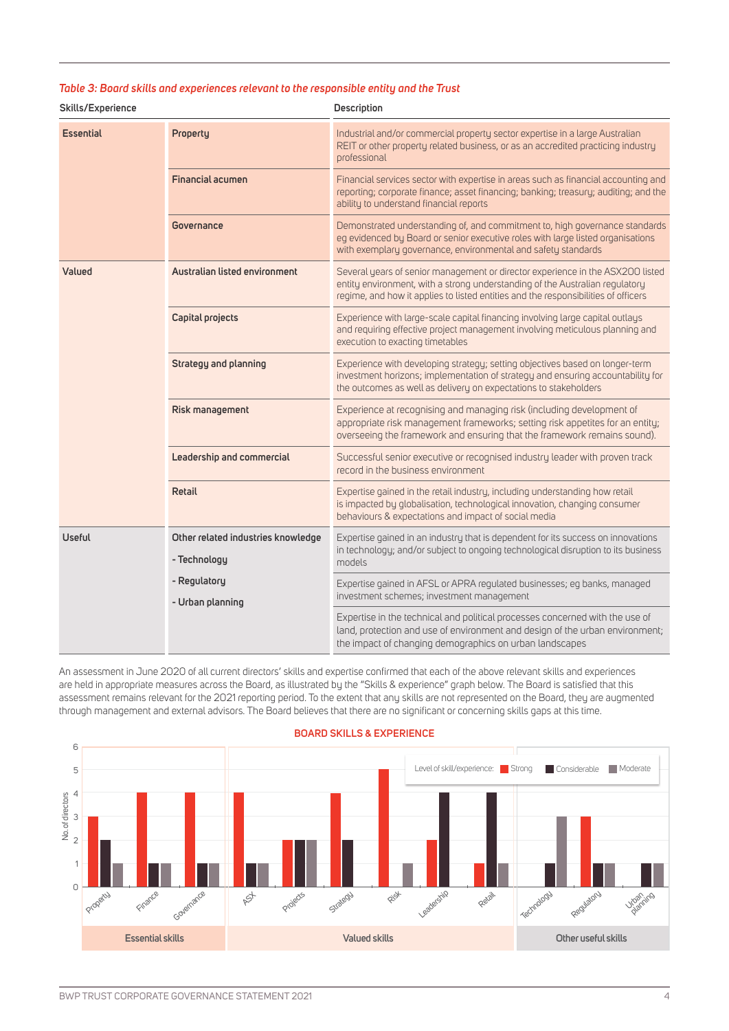# *Table 3: Board skills and experiences relevant to the responsible entity and the Trust*

| Skills/Experience |                                                    | Description                                                                                                                                                                                                                                          |  |  |  |
|-------------------|----------------------------------------------------|------------------------------------------------------------------------------------------------------------------------------------------------------------------------------------------------------------------------------------------------------|--|--|--|
| <b>Essential</b>  | Property                                           | Industrial and/or commercial property sector expertise in a large Australian<br>REIT or other property related business, or as an accredited practicing industry<br>professional                                                                     |  |  |  |
|                   | <b>Financial acumen</b>                            | Financial services sector with expertise in areas such as financial accounting and<br>reporting; corporate finance; asset financing; banking; treasury; auditing; and the<br>ability to understand financial reports                                 |  |  |  |
|                   | Governance                                         | Demonstrated understanding of, and commitment to, high governance standards<br>eg evidenced by Board or senior executive roles with large listed organisations<br>with exemplary governance, environmental and safety standards                      |  |  |  |
| Valued            | Australian listed environment                      | Several years of senior management or director experience in the ASX200 listed<br>entity environment, with a strong understanding of the Australian regulatory<br>regime, and how it applies to listed entities and the responsibilities of officers |  |  |  |
|                   | Capital projects                                   | Experience with large-scale capital financing involving large capital outlays<br>and requiring effective project management involving meticulous planning and<br>execution to exacting timetables                                                    |  |  |  |
|                   | Strategy and planning                              | Experience with developing strategy; setting objectives based on longer-term<br>investment horizons; implementation of strategy and ensuring accountability for<br>the outcomes as well as delivery on expectations to stakeholders                  |  |  |  |
|                   | Risk management                                    | Experience at recognising and managing risk (including development of<br>appropriate risk management frameworks; setting risk appetites for an entity;<br>overseeing the framework and ensuring that the framework remains sound).                   |  |  |  |
|                   | Leadership and commercial                          | Successful senior executive or recognised industry leader with proven track<br>record in the business environment                                                                                                                                    |  |  |  |
|                   | <b>Retail</b>                                      | Expertise gained in the retail industry, including understanding how retail<br>is impacted by globalisation, technological innovation, changing consumer<br>behaviours & expectations and impact of social media                                     |  |  |  |
| <b>Useful</b>     | Other related industries knowledge<br>- Technology | Expertise gained in an industry that is dependent for its success on innovations<br>in technology; and/or subject to ongoing technological disruption to its business<br>models                                                                      |  |  |  |
|                   | - Regulatory<br>- Urban planning                   | Expertise gained in AFSL or APRA regulated businesses; eg banks, managed<br>investment schemes; investment management                                                                                                                                |  |  |  |
|                   |                                                    | Expertise in the technical and political processes concerned with the use of<br>land, protection and use of environment and design of the urban environment;<br>the impact of changing demographics on urban landscapes                              |  |  |  |

An assessment in June 2020 of all current directors' skills and expertise confirmed that each of the above relevant skills and experiences are held in appropriate measures across the Board, as illustrated by the "Skills & experience" graph below. The Board is satisfied that this assessment remains relevant for the 2021 reporting period. To the extent that any skills are not represented on the Board, they are augmented through management and external advisors. The Board believes that there are no significant or concerning skills gaps at this time.



## **BOARD SKILLS & EXPERIENCE**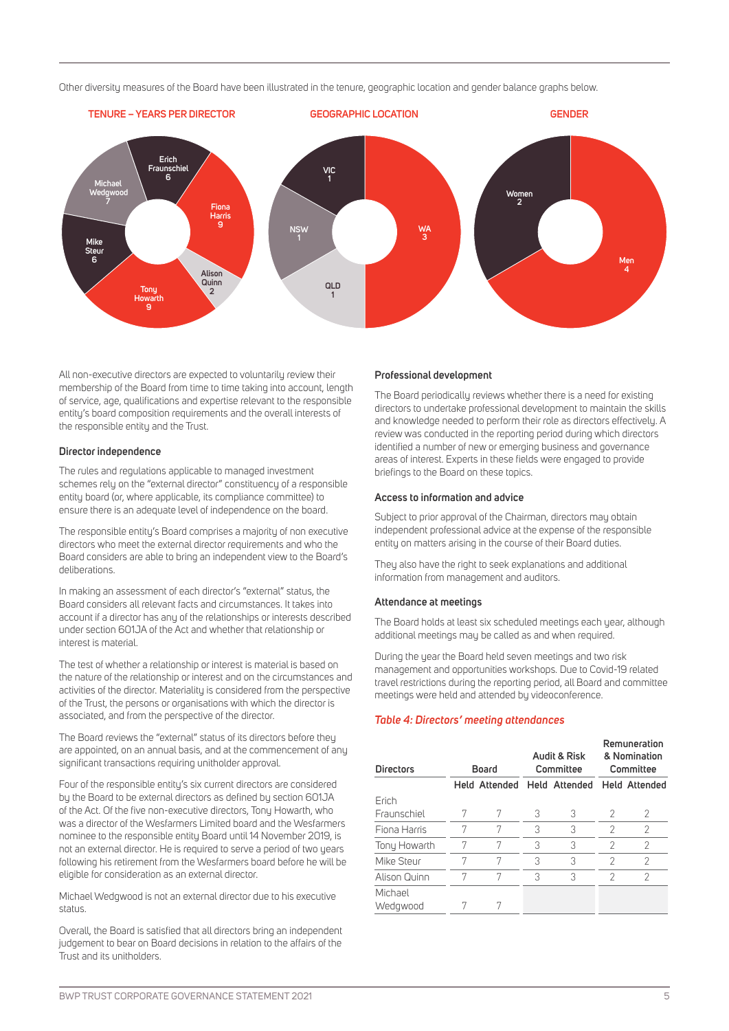Other diversity measures of the Board have been illustrated in the tenure, geographic location and gender balance graphs below.



All non-executive directors are expected to voluntarily review their membership of the Board from time to time taking into account, length of service, age, qualifications and expertise relevant to the responsible entity's board composition requirements and the overall interests of the responsible entity and the Trust.

#### **Director independence**

The rules and regulations applicable to managed investment schemes rely on the "external director" constituency of a responsible entity board (or, where applicable, its compliance committee) to ensure there is an adequate level of independence on the board.

The responsible entity's Board comprises a majority of non executive directors who meet the external director requirements and who the Board considers are able to bring an independent view to the Board's deliberations.

In making an assessment of each director's "external" status, the Board considers all relevant facts and circumstances. It takes into account if a director has any of the relationships or interests described under section 601JA of the Act and whether that relationship or interest is material.

The test of whether a relationship or interest is material is based on the nature of the relationship or interest and on the circumstances and activities of the director. Materiality is considered from the perspective of the Trust, the persons or organisations with which the director is associated, and from the perspective of the director.

The Board reviews the "external" status of its directors before they are appointed, on an annual basis, and at the commencement of any significant transactions requiring unitholder approval.

Four of the responsible entity's six current directors are considered by the Board to be external directors as defined by section 601JA of the Act. Of the five non-executive directors, Tony Howarth, who was a director of the Wesfarmers Limited board and the Wesfarmers nominee to the responsible entity Board until 14 November 2019, is not an external director. He is required to serve a period of two years following his retirement from the Wesfarmers board before he will be eligible for consideration as an external director.

Michael Wedgwood is not an external director due to his executive status.

Overall, the Board is satisfied that all directors bring an independent judgement to bear on Board decisions in relation to the affairs of the Trust and its unitholders.

#### **Professional development**

The Board periodically reviews whether there is a need for existing directors to undertake professional development to maintain the skills and knowledge needed to perform their role as directors effectively. A review was conducted in the reporting period during which directors identified a number of new or emerging business and governance areas of interest. Experts in these fields were engaged to provide briefings to the Board on these topics.

#### **Access to information and advice**

Subject to prior approval of the Chairman, directors may obtain independent professional advice at the expense of the responsible entity on matters arising in the course of their Board duties.

They also have the right to seek explanations and additional information from management and auditors.

#### **Attendance at meetings**

The Board holds at least six scheduled meetings each year, although additional meetings may be called as and when required.

During the year the Board held seven meetings and two risk management and opportunities workshops. Due to Covid-19 related travel restrictions during the reporting period, all Board and committee meetings were held and attended by videoconference.

#### *Table 4: Directors' meeting attendances*

| <b>Directors</b>    | <b>Audit &amp; Risk</b><br>Board<br>Committee |               |   | Remuneration<br>& Nomination<br>Committee |               |               |
|---------------------|-----------------------------------------------|---------------|---|-------------------------------------------|---------------|---------------|
|                     |                                               | Held Attended |   | Held Attended                             |               | Held Attended |
| Erich               |                                               |               |   |                                           |               |               |
| Fraunschiel         | 7                                             | 7             | 3 | 3                                         | 2             | $\mathcal{P}$ |
| Fiona Harris        | 7                                             | 7             | 3 | 3                                         | 2             | 2             |
| Tony Howarth        | 7                                             | 7             | 3 | 3                                         | 2             | 2             |
| Mike Steur          | 7                                             | 7             | 3 | 3                                         | 2             | 2             |
| Alison Quinn        | 7                                             | 7             | 3 | 3                                         | $\mathcal{P}$ | $\mathcal{P}$ |
| Michael<br>Wedgwood |                                               | 7             |   |                                           |               |               |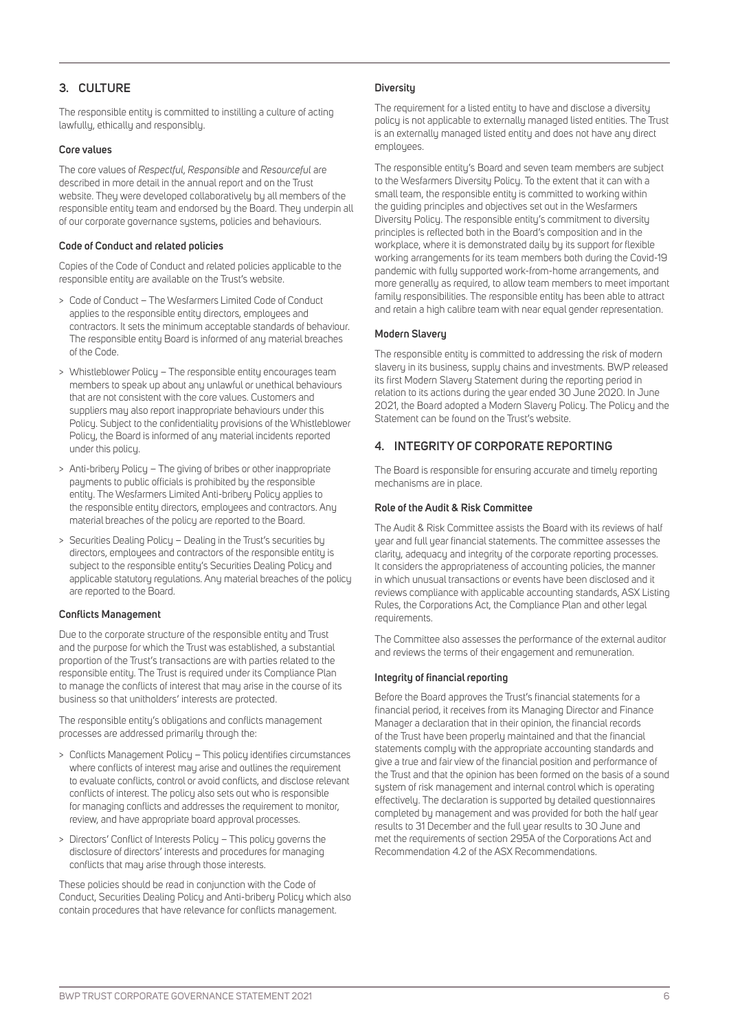# **3. CULTURE**

The responsible entity is committed to instilling a culture of acting lawfully, ethically and responsibly.

### **Core values**

The core values of *Respectful*, *Responsible* and *Resourceful* are described in more detail in the annual report and on the Trust website. They were developed collaboratively by all members of the responsible entity team and endorsed by the Board. They underpin all of our corporate governance systems, policies and behaviours.

### **Code of Conduct and related policies**

Copies of the Code of Conduct and related policies applicable to the responsible entity are available on the Trust's website.

- > Code of Conduct The Wesfarmers Limited Code of Conduct applies to the responsible entity directors, employees and contractors. It sets the minimum acceptable standards of behaviour. The responsible entity Board is informed of any material breaches of the Code.
- > Whistleblower Policy The responsible entity encourages team members to speak up about any unlawful or unethical behaviours that are not consistent with the core values. Customers and suppliers may also report inappropriate behaviours under this Policy. Subject to the confidentiality provisions of the Whistleblower Policy, the Board is informed of any material incidents reported under this policy.
- > Anti-bribery Policy The giving of bribes or other inappropriate payments to public officials is prohibited by the responsible entity. The Wesfarmers Limited Anti-bribery Policy applies to the responsible entity directors, employees and contractors. Any material breaches of the policy are reported to the Board.
- > Securities Dealing Policy Dealing in the Trust's securities by directors, employees and contractors of the responsible entity is subject to the responsible entity's Securities Dealing Policy and applicable statutory regulations. Any material breaches of the policy are reported to the Board.

## **Conflicts Management**

Due to the corporate structure of the responsible entity and Trust and the purpose for which the Trust was established, a substantial proportion of the Trust's transactions are with parties related to the responsible entity. The Trust is required under its Compliance Plan to manage the conflicts of interest that may arise in the course of its business so that unitholders' interests are protected.

The responsible entity's obligations and conflicts management processes are addressed primarily through the:

- > Conflicts Management Policy This policy identifies circumstances where conflicts of interest may arise and outlines the requirement to evaluate conflicts, control or avoid conflicts, and disclose relevant conflicts of interest. The policy also sets out who is responsible for managing conflicts and addresses the requirement to monitor, review, and have appropriate board approval processes.
- > Directors' Conflict of Interests Policy This policy governs the disclosure of directors' interests and procedures for managing conflicts that may arise through those interests.

These policies should be read in conjunction with the Code of Conduct, Securities Dealing Policy and Anti-bribery Policy which also contain procedures that have relevance for conflicts management.

#### **Diversity**

The requirement for a listed entity to have and disclose a diversity policy is not applicable to externally managed listed entities. The Trust is an externally managed listed entity and does not have any direct employees.

The responsible entity's Board and seven team members are subject to the Wesfarmers Diversity Policy. To the extent that it can with a small team, the responsible entity is committed to working within the guiding principles and objectives set out in the Wesfarmers Diversity Policy. The responsible entity's commitment to diversity principles is reflected both in the Board's composition and in the workplace, where it is demonstrated daily by its support for flexible working arrangements for its team members both during the Covid-19 pandemic with fully supported work-from-home arrangements, and more generally as required, to allow team members to meet important family responsibilities. The responsible entity has been able to attract and retain a high calibre team with near equal gender representation.

### **Modern Slavery**

The responsible entity is committed to addressing the risk of modern slavery in its business, supply chains and investments. BWP released its first Modern Slavery Statement during the reporting period in relation to its actions during the year ended 30 June 2020. In June 2021, the Board adopted a Modern Slavery Policy. The Policy and the Statement can be found on the Trust's website.

# **4. INTEGRITY OF CORPORATE REPORTING**

The Board is responsible for ensuring accurate and timely reporting mechanisms are in place.

### **Role of the Audit & Risk Committee**

The Audit & Risk Committee assists the Board with its reviews of half year and full year financial statements. The committee assesses the clarity, adequacy and integrity of the corporate reporting processes. It considers the appropriateness of accounting policies, the manner in which unusual transactions or events have been disclosed and it reviews compliance with applicable accounting standards, ASX Listing Rules, the Corporations Act, the Compliance Plan and other legal requirements.

The Committee also assesses the performance of the external auditor and reviews the terms of their engagement and remuneration.

## **Integrity of financial reporting**

Before the Board approves the Trust's financial statements for a financial period, it receives from its Managing Director and Finance Manager a declaration that in their opinion, the financial records of the Trust have been properly maintained and that the financial statements comply with the appropriate accounting standards and give a true and fair view of the financial position and performance of the Trust and that the opinion has been formed on the basis of a sound system of risk management and internal control which is operating effectively. The declaration is supported by detailed questionnaires completed by management and was provided for both the half year results to 31 December and the full year results to 30 June and met the requirements of section 295A of the Corporations Act and Recommendation 4.2 of the ASX Recommendations.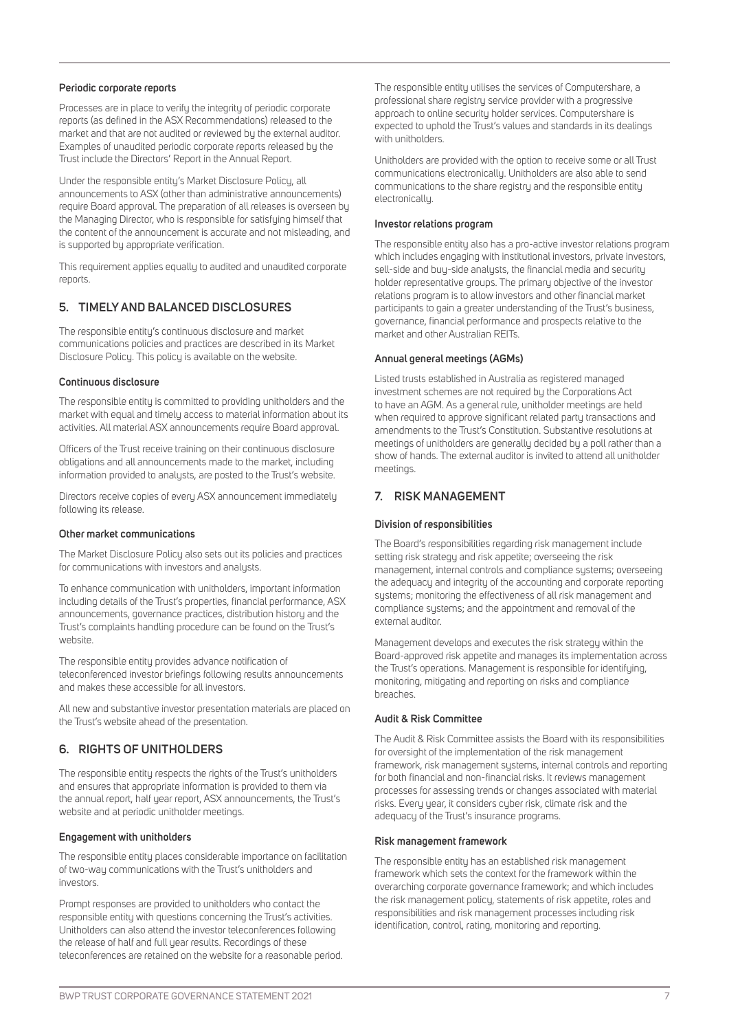#### **Periodic corporate reports**

Processes are in place to verify the integrity of periodic corporate reports (as defined in the ASX Recommendations) released to the market and that are not audited or reviewed by the external auditor. Examples of unaudited periodic corporate reports released by the Trust include the Directors' Report in the Annual Report.

Under the responsible entity's Market Disclosure Policy, all announcements to ASX (other than administrative announcements) require Board approval. The preparation of all releases is overseen by the Managing Director, who is responsible for satisfying himself that the content of the announcement is accurate and not misleading, and is supported by appropriate verification.

This requirement applies equally to audited and unaudited corporate reports.

# **5. TIMELY AND BALANCED DISCLOSURES**

The responsible entity's continuous disclosure and market communications policies and practices are described in its Market Disclosure Policy. This policy is available on the website.

#### **Continuous disclosure**

The responsible entity is committed to providing unitholders and the market with equal and timely access to material information about its activities. All material ASX announcements require Board approval.

Officers of the Trust receive training on their continuous disclosure obligations and all announcements made to the market, including information provided to analysts, are posted to the Trust's website.

Directors receive copies of every ASX announcement immediately following its release.

## **Other market communications**

The Market Disclosure Policy also sets out its policies and practices for communications with investors and analysts.

To enhance communication with unitholders, important information including details of the Trust's properties, financial performance, ASX announcements, governance practices, distribution history and the Trust's complaints handling procedure can be found on the Trust's website.

The responsible entity provides advance notification of teleconferenced investor briefings following results announcements and makes these accessible for all investors.

All new and substantive investor presentation materials are placed on the Trust's website ahead of the presentation.

# **6. RIGHTS OF UNITHOLDERS**

The responsible entity respects the rights of the Trust's unitholders and ensures that appropriate information is provided to them via the annual report, half year report, ASX announcements, the Trust's website and at periodic unitholder meetings.

#### **Engagement with unitholders**

The responsible entity places considerable importance on facilitation of two-way communications with the Trust's unitholders and investors.

Prompt responses are provided to unitholders who contact the responsible entity with questions concerning the Trust's activities. Unitholders can also attend the investor teleconferences following the release of half and full year results. Recordings of these teleconferences are retained on the website for a reasonable period.

The responsible entity utilises the services of Computershare, a professional share registry service provider with a progressive approach to online security holder services. Computershare is expected to uphold the Trust's values and standards in its dealings with unitholders.

Unitholders are provided with the option to receive some or all Trust communications electronically. Unitholders are also able to send communications to the share registry and the responsible entity electronically.

#### **Investor relations program**

The responsible entity also has a pro-active investor relations program which includes engaging with institutional investors, private investors, sell-side and buy-side analysts, the financial media and security holder representative groups. The primary objective of the investor relations program is to allow investors and other financial market participants to gain a greater understanding of the Trust's business, governance, financial performance and prospects relative to the market and other Australian REITs.

## **Annual general meetings (AGMs)**

Listed trusts established in Australia as registered managed investment schemes are not required by the Corporations Act to have an AGM. As a general rule, unitholder meetings are held when required to approve significant related party transactions and amendments to the Trust's Constitution. Substantive resolutions at meetings of unitholders are generally decided by a poll rather than a show of hands. The external auditor is invited to attend all unitholder meetings.

# **7. RISK MANAGEMENT**

#### **Division of responsibilities**

The Board's responsibilities regarding risk management include setting risk strategy and risk appetite; overseeing the risk management, internal controls and compliance systems; overseeing the adequacy and integrity of the accounting and corporate reporting systems; monitoring the effectiveness of all risk management and compliance systems; and the appointment and removal of the external auditor.

Management develops and executes the risk strategy within the Board-approved risk appetite and manages its implementation across the Trust's operations. Management is responsible for identifying, monitoring, mitigating and reporting on risks and compliance breaches.

#### **Audit & Risk Committee**

The Audit & Risk Committee assists the Board with its responsibilities for oversight of the implementation of the risk management framework, risk management systems, internal controls and reporting for both financial and non-financial risks. It reviews management processes for assessing trends or changes associated with material risks. Every year, it considers cyber risk, climate risk and the adequacy of the Trust's insurance programs.

#### **Risk management framework**

The responsible entity has an established risk management framework which sets the context for the framework within the overarching corporate governance framework; and which includes the risk management policy, statements of risk appetite, roles and responsibilities and risk management processes including risk identification, control, rating, monitoring and reporting.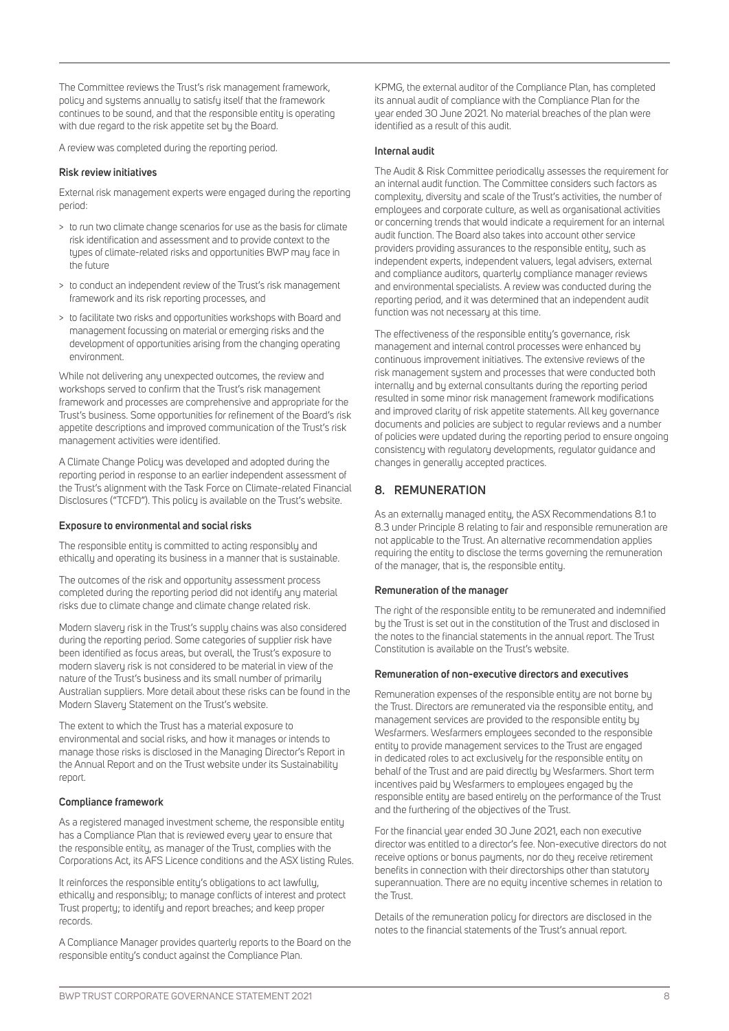The Committee reviews the Trust's risk management framework, policy and systems annually to satisfy itself that the framework continues to be sound, and that the responsible entity is operating with due regard to the risk appetite set by the Board.

A review was completed during the reporting period.

#### **Risk review initiatives**

External risk management experts were engaged during the reporting period:

- > to run two climate change scenarios for use as the basis for climate risk identification and assessment and to provide context to the types of climate-related risks and opportunities BWP may face in the future
- > to conduct an independent review of the Trust's risk management framework and its risk reporting processes, and
- > to facilitate two risks and opportunities workshops with Board and management focussing on material or emerging risks and the development of opportunities arising from the changing operating environment.

While not delivering any unexpected outcomes, the review and workshops served to confirm that the Trust's risk management framework and processes are comprehensive and appropriate for the Trust's business. Some opportunities for refinement of the Board's risk appetite descriptions and improved communication of the Trust's risk management activities were identified.

A Climate Change Policy was developed and adopted during the reporting period in response to an earlier independent assessment of the Trust's alignment with the Task Force on Climate-related Financial Disclosures ("TCFD"). This policy is available on the Trust's website.

#### **Exposure to environmental and social risks**

The responsible entity is committed to acting responsibly and ethically and operating its business in a manner that is sustainable.

The outcomes of the risk and opportunity assessment process completed during the reporting period did not identify any material risks due to climate change and climate change related risk.

Modern slavery risk in the Trust's supply chains was also considered during the reporting period. Some categories of supplier risk have been identified as focus areas, but overall, the Trust's exposure to modern slavery risk is not considered to be material in view of the nature of the Trust's business and its small number of primarily Australian suppliers. More detail about these risks can be found in the Modern Slavery Statement on the Trust's website.

The extent to which the Trust has a material exposure to environmental and social risks, and how it manages or intends to manage those risks is disclosed in the Managing Director's Report in the Annual Report and on the Trust website under its Sustainability report.

#### **Compliance framework**

As a registered managed investment scheme, the responsible entity has a Compliance Plan that is reviewed every year to ensure that the responsible entity, as manager of the Trust, complies with the Corporations Act, its AFS Licence conditions and the ASX listing Rules.

It reinforces the responsible entity's obligations to act lawfully, ethically and responsibly; to manage conflicts of interest and protect Trust property; to identify and report breaches; and keep proper records.

A Compliance Manager provides quarterly reports to the Board on the responsible entity's conduct against the Compliance Plan.

KPMG, the external auditor of the Compliance Plan, has completed its annual audit of compliance with the Compliance Plan for the year ended 30 June 2021. No material breaches of the plan were identified as a result of this audit.

#### **Internal audit**

The Audit & Risk Committee periodically assesses the requirement for an internal audit function. The Committee considers such factors as complexity, diversity and scale of the Trust's activities, the number of employees and corporate culture, as well as organisational activities or concerning trends that would indicate a requirement for an internal audit function. The Board also takes into account other service providers providing assurances to the responsible entity, such as independent experts, independent valuers, legal advisers, external and compliance auditors, quarterly compliance manager reviews and environmental specialists. A review was conducted during the reporting period, and it was determined that an independent audit function was not necessary at this time.

The effectiveness of the responsible entity's governance, risk management and internal control processes were enhanced by continuous improvement initiatives. The extensive reviews of the risk management system and processes that were conducted both internally and by external consultants during the reporting period resulted in some minor risk management framework modifications and improved clarity of risk appetite statements. All key governance documents and policies are subject to regular reviews and a number of policies were updated during the reporting period to ensure ongoing consistency with regulatory developments, regulator guidance and changes in generally accepted practices.

# **8. REMUNERATION**

As an externally managed entity, the ASX Recommendations 8.1 to 8.3 under Principle 8 relating to fair and responsible remuneration are not applicable to the Trust. An alternative recommendation applies requiring the entity to disclose the terms governing the remuneration of the manager, that is, the responsible entity.

#### **Remuneration of the manager**

The right of the responsible entity to be remunerated and indemnified by the Trust is set out in the constitution of the Trust and disclosed in the notes to the financial statements in the annual report. The Trust Constitution is available on the Trust's website.

#### **Remuneration of non-executive directors and executives**

Remuneration expenses of the responsible entity are not borne by the Trust. Directors are remunerated via the responsible entity, and management services are provided to the responsible entity by Wesfarmers. Wesfarmers employees seconded to the responsible entity to provide management services to the Trust are engaged in dedicated roles to act exclusively for the responsible entity on behalf of the Trust and are paid directly by Wesfarmers. Short term incentives paid by Wesfarmers to employees engaged by the responsible entity are based entirely on the performance of the Trust and the furthering of the objectives of the Trust.

For the financial year ended 30 June 2021, each non executive director was entitled to a director's fee. Non-executive directors do not receive options or bonus payments, nor do they receive retirement benefits in connection with their directorships other than statutory superannuation. There are no equity incentive schemes in relation to the Trust.

Details of the remuneration policy for directors are disclosed in the notes to the financial statements of the Trust's annual report.